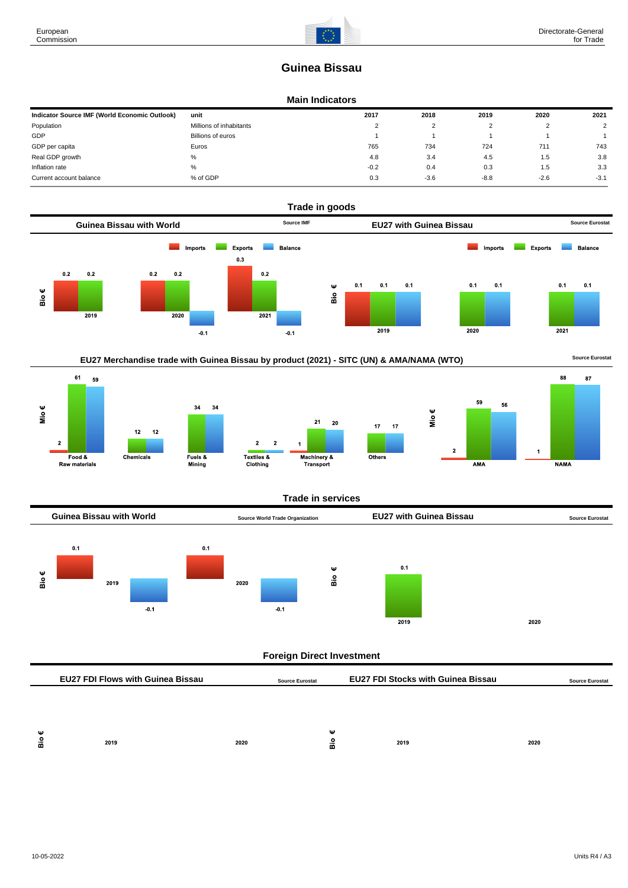87

# **Guinea Bissau**

#### **Main Indicators**

| Indicator Source IMF (World Economic Outlook) | unit                    | 2017   | 2018   | 2019   | 2020   | 2021   |
|-----------------------------------------------|-------------------------|--------|--------|--------|--------|--------|
| Population                                    | Millions of inhabitants | $\sim$ |        |        |        | າ      |
| GDP                                           | Billions of euros       |        |        |        |        |        |
| GDP per capita                                | Euros                   | 765    | 734    | 724    | 711    | 743    |
| Real GDP growth                               | %                       | 4.8    | 3.4    | 4.5    | 1.5    | 3.8    |
| Inflation rate                                | %                       | $-0.2$ | 0.4    | 0.3    | 1.5    | 3.3    |
| Current account balance                       | % of GDP                | 0.3    | $-3.6$ | $-8.8$ | $-2.6$ | $-3.1$ |





#### **Trade in services**



| - Gol<br>-<br>. . |      |      |         |      |      |
|-------------------|------|------|---------|------|------|
| ≃                 | 2019 | 2020 | --<br>m | 2019 | 2020 |